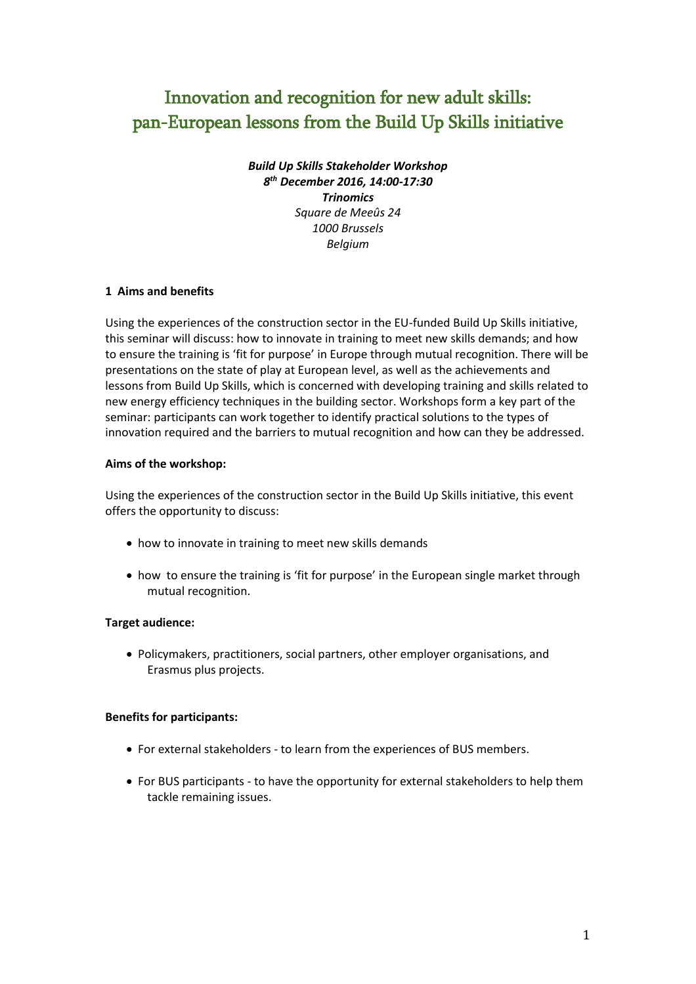# Innovation and recognition for new adult skills: pan-European lessons from the Build Up Skills initiative

*Build Up Skills Stakeholder Workshop 8 th December 2016, 14:00-17:30 Trinomics Square de Meeûs 24 1000 Brussels Belgium*

# **1 Aims and benefits**

Using the experiences of the construction sector in the EU-funded Build Up Skills initiative, this seminar will discuss: how to innovate in training to meet new skills demands; and how to ensure the training is 'fit for purpose' in Europe through mutual recognition. There will be presentations on the state of play at European level, as well as the achievements and lessons from Build Up Skills, which is concerned with developing training and skills related to new energy efficiency techniques in the building sector. Workshops form a key part of the seminar: participants can work together to identify practical solutions to the types of innovation required and the barriers to mutual recognition and how can they be addressed.

## **Aims of the workshop:**

Using the experiences of the construction sector in the Build Up Skills initiative, this event offers the opportunity to discuss:

- how to innovate in training to meet new skills demands
- how to ensure the training is 'fit for purpose' in the European single market through mutual recognition.

## **Target audience:**

 Policymakers, practitioners, social partners, other employer organisations, and Erasmus plus projects.

## **Benefits for participants:**

- For external stakeholders to learn from the experiences of BUS members.
- For BUS participants to have the opportunity for external stakeholders to help them tackle remaining issues.